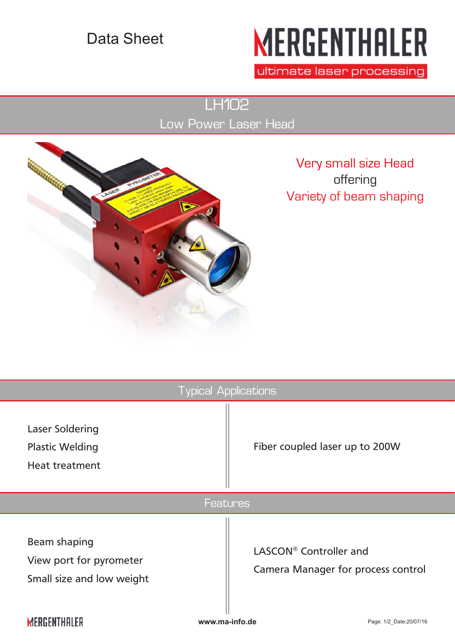## Data Sheet

## **MERGENTHALER**

ultimate laser processing

LH102 Low Power Laser Head



Very small size Head offering Variety of beam shaping

| <b>Typical Applications</b>                                                 |                        |                                           |
|-----------------------------------------------------------------------------|------------------------|-------------------------------------------|
| <b>Laser Soldering</b><br><b>Plastic Welding</b><br><b>Heat treatment</b>   |                        | Fiber coupled laser up to 200W            |
| <b>Features</b>                                                             |                        |                                           |
| <b>Beam shaping</b><br>View port for pyrometer<br>Small size and low weight | LASCON® Controller and | <b>Camera Manager for process control</b> |
| MERGENTHALER                                                                | www.ma-info.de         | Page: 1/2_Date:20/07/16                   |